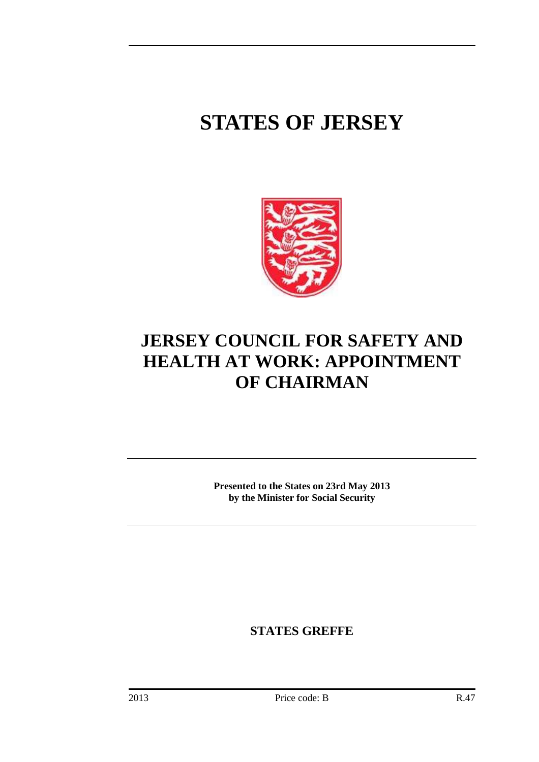# **STATES OF JERSEY**



# **JERSEY COUNCIL FOR SAFETY AND HEALTH AT WORK: APPOINTMENT OF CHAIRMAN**

**Presented to the States on 23rd May 2013 by the Minister for Social Security** 

**STATES GREFFE**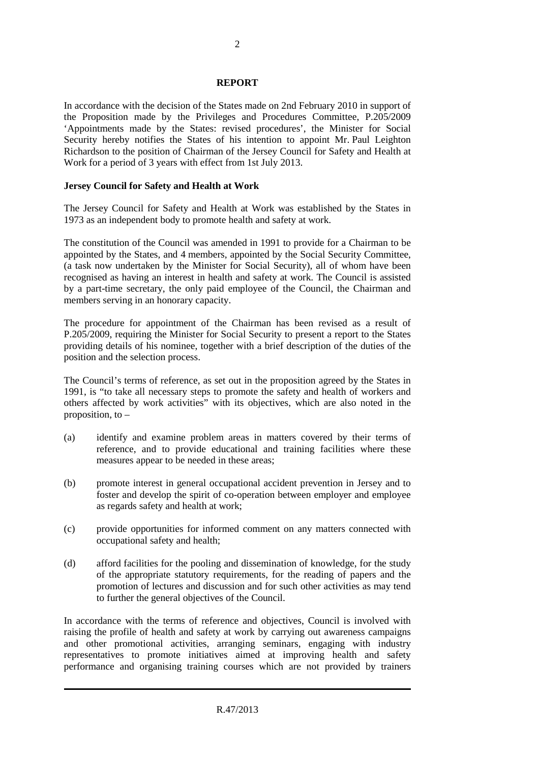#### **REPORT**

In accordance with the decision of the States made on 2nd February 2010 in support of the Proposition made by the Privileges and Procedures Committee, P.205/2009 'Appointments made by the States: revised procedures', the Minister for Social Security hereby notifies the States of his intention to appoint Mr. Paul Leighton Richardson to the position of Chairman of the Jersey Council for Safety and Health at Work for a period of 3 years with effect from 1st July 2013.

#### **Jersey Council for Safety and Health at Work**

The Jersey Council for Safety and Health at Work was established by the States in 1973 as an independent body to promote health and safety at work.

The constitution of the Council was amended in 1991 to provide for a Chairman to be appointed by the States, and 4 members, appointed by the Social Security Committee, (a task now undertaken by the Minister for Social Security), all of whom have been recognised as having an interest in health and safety at work. The Council is assisted by a part-time secretary, the only paid employee of the Council, the Chairman and members serving in an honorary capacity.

The procedure for appointment of the Chairman has been revised as a result of P.205/2009, requiring the Minister for Social Security to present a report to the States providing details of his nominee, together with a brief description of the duties of the position and the selection process.

The Council's terms of reference, as set out in the proposition agreed by the States in 1991, is "to take all necessary steps to promote the safety and health of workers and others affected by work activities" with its objectives, which are also noted in the proposition, to –

- (a) identify and examine problem areas in matters covered by their terms of reference, and to provide educational and training facilities where these measures appear to be needed in these areas;
- (b) promote interest in general occupational accident prevention in Jersey and to foster and develop the spirit of co-operation between employer and employee as regards safety and health at work;
- (c) provide opportunities for informed comment on any matters connected with occupational safety and health;
- (d) afford facilities for the pooling and dissemination of knowledge, for the study of the appropriate statutory requirements, for the reading of papers and the promotion of lectures and discussion and for such other activities as may tend to further the general objectives of the Council.

In accordance with the terms of reference and objectives, Council is involved with raising the profile of health and safety at work by carrying out awareness campaigns and other promotional activities, arranging seminars, engaging with industry representatives to promote initiatives aimed at improving health and safety performance and organising training courses which are not provided by trainers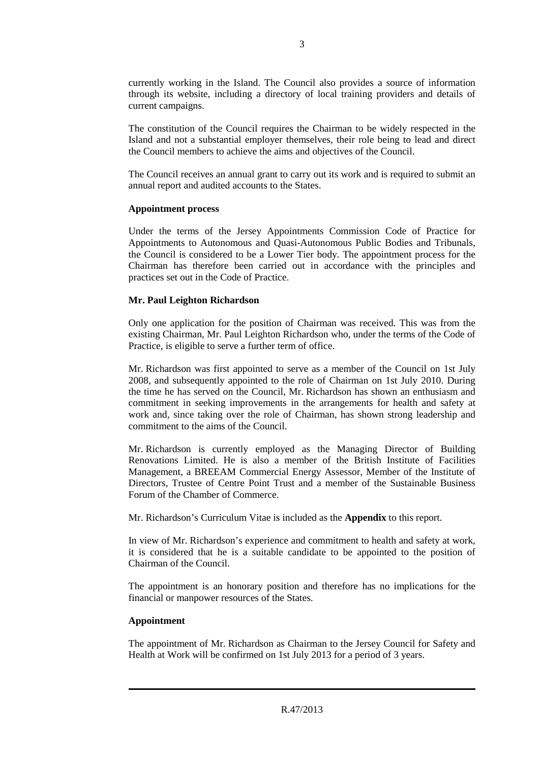currently working in the Island. The Council also provides a source of information through its website, including a directory of local training providers and details of current campaigns.

The constitution of the Council requires the Chairman to be widely respected in the Island and not a substantial employer themselves, their role being to lead and direct the Council members to achieve the aims and objectives of the Council.

The Council receives an annual grant to carry out its work and is required to submit an annual report and audited accounts to the States.

#### **Appointment process**

Under the terms of the Jersey Appointments Commission Code of Practice for Appointments to Autonomous and Quasi-Autonomous Public Bodies and Tribunals, the Council is considered to be a Lower Tier body. The appointment process for the Chairman has therefore been carried out in accordance with the principles and practices set out in the Code of Practice.

#### **Mr. Paul Leighton Richardson**

Only one application for the position of Chairman was received. This was from the existing Chairman, Mr. Paul Leighton Richardson who, under the terms of the Code of Practice, is eligible to serve a further term of office.

Mr. Richardson was first appointed to serve as a member of the Council on 1st July 2008, and subsequently appointed to the role of Chairman on 1st July 2010. During the time he has served on the Council, Mr. Richardson has shown an enthusiasm and commitment in seeking improvements in the arrangements for health and safety at work and, since taking over the role of Chairman, has shown strong leadership and commitment to the aims of the Council.

Mr. Richardson is currently employed as the Managing Director of Building Renovations Limited. He is also a member of the British Institute of Facilities Management, a BREEAM Commercial Energy Assessor, Member of the Institute of Directors, Trustee of Centre Point Trust and a member of the Sustainable Business Forum of the Chamber of Commerce.

Mr. Richardson's Curriculum Vitae is included as the **Appendix** to this report.

In view of Mr. Richardson's experience and commitment to health and safety at work, it is considered that he is a suitable candidate to be appointed to the position of Chairman of the Council.

The appointment is an honorary position and therefore has no implications for the financial or manpower resources of the States.

## **Appointment**

The appointment of Mr. Richardson as Chairman to the Jersey Council for Safety and Health at Work will be confirmed on 1st July 2013 for a period of 3 years.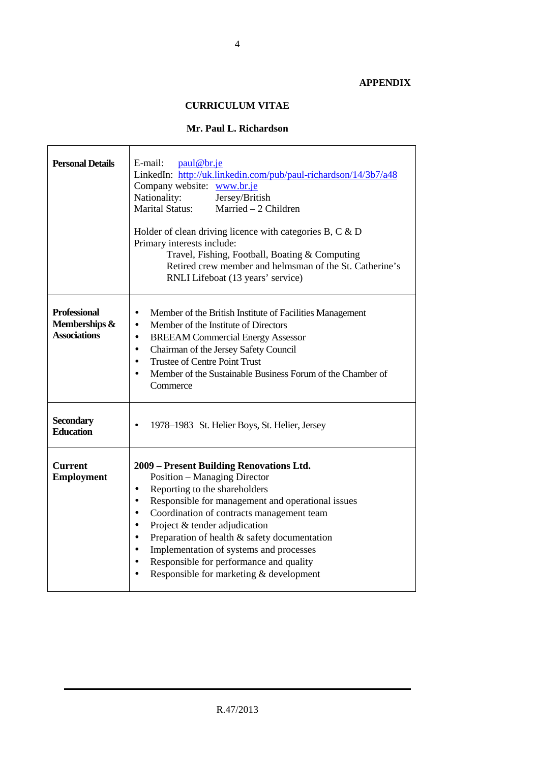## **APPENDIX**

 $\overline{ }$ 

# **CURRICULUM VITAE**

# **Mr. Paul L. Richardson**

| <b>Personal Details</b>                                     | E-mail:<br>paul@br.je<br>LinkedIn: http://uk.linkedin.com/pub/paul-richardson/14/3b7/a48<br>Company website: www.br.je<br>Nationality:<br>Jersey/British<br><b>Marital Status:</b><br>Married $-2$ Children<br>Holder of clean driving licence with categories $B, C \& D$<br>Primary interests include:<br>Travel, Fishing, Football, Boating & Computing<br>Retired crew member and helmsman of the St. Catherine's<br>RNLI Lifeboat (13 years' service)                                                                                   |
|-------------------------------------------------------------|----------------------------------------------------------------------------------------------------------------------------------------------------------------------------------------------------------------------------------------------------------------------------------------------------------------------------------------------------------------------------------------------------------------------------------------------------------------------------------------------------------------------------------------------|
| <b>Professional</b><br>Memberships &<br><b>Associations</b> | Member of the British Institute of Facilities Management<br>$\bullet$<br>Member of the Institute of Directors<br>$\bullet$<br><b>BREEAM Commercial Energy Assessor</b><br>$\bullet$<br>Chairman of the Jersey Safety Council<br>$\bullet$<br><b>Trustee of Centre Point Trust</b><br>$\bullet$<br>Member of the Sustainable Business Forum of the Chamber of<br>Commerce                                                                                                                                                                     |
| <b>Secondary</b><br><b>Education</b>                        | 1978–1983 St. Helier Boys, St. Helier, Jersey<br>$\bullet$                                                                                                                                                                                                                                                                                                                                                                                                                                                                                   |
| <b>Current</b><br><b>Employment</b>                         | 2009 – Present Building Renovations Ltd.<br><b>Position – Managing Director</b><br>Reporting to the shareholders<br>$\bullet$<br>Responsible for management and operational issues<br>$\bullet$<br>Coordination of contracts management team<br>$\bullet$<br>Project & tender adjudication<br>$\bullet$<br>Preparation of health & safety documentation<br>$\bullet$<br>Implementation of systems and processes<br>$\bullet$<br>Responsible for performance and quality<br>$\bullet$<br>Responsible for marketing & development<br>$\bullet$ |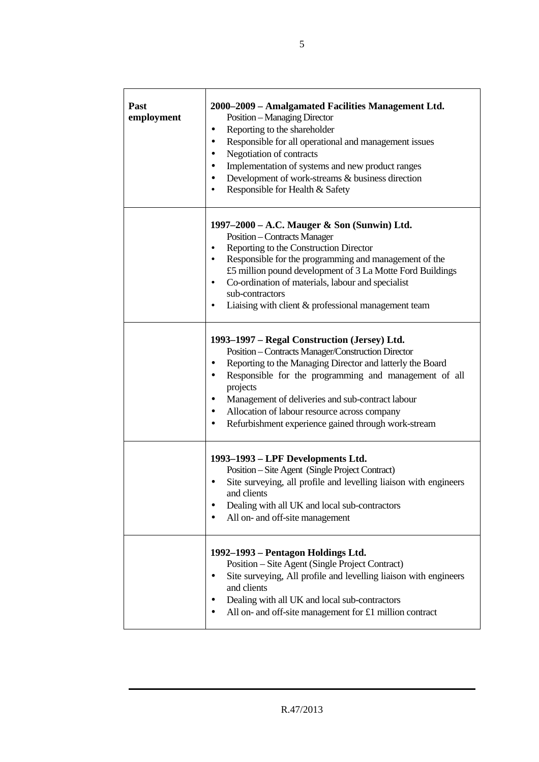| <b>Past</b><br>employment | 2000–2009 – Amalgamated Facilities Management Ltd.<br>Position - Managing Director<br>Reporting to the shareholder<br>٠<br>Responsible for all operational and management issues<br>٠<br>Negotiation of contracts<br>٠<br>Implementation of systems and new product ranges<br>٠<br>Development of work-streams & business direction<br>٠<br>Responsible for Health & Safety<br>$\bullet$                                      |
|---------------------------|-------------------------------------------------------------------------------------------------------------------------------------------------------------------------------------------------------------------------------------------------------------------------------------------------------------------------------------------------------------------------------------------------------------------------------|
|                           | 1997-2000 - A.C. Mauger & Son (Sunwin) Ltd.<br><b>Position – Contracts Manager</b><br>Reporting to the Construction Director<br>٠<br>Responsible for the programming and management of the<br>$\bullet$<br>£5 million pound development of 3 La Motte Ford Buildings<br>Co-ordination of materials, labour and specialist<br>$\bullet$<br>sub-contractors<br>Liaising with client & professional management team<br>$\bullet$ |
|                           | 1993-1997 - Regal Construction (Jersey) Ltd.<br>Position - Contracts Manager/Construction Director<br>Reporting to the Managing Director and latterly the Board<br>٠<br>Responsible for the programming and management of all<br>٠<br>projects<br>Management of deliveries and sub-contract labour<br>٠<br>Allocation of labour resource across company<br>٠<br>Refurbishment experience gained through work-stream           |
|                           | 1993-1993 - LPF Developments Ltd.<br>Position – Site Agent (Single Project Contract)<br>Site surveying, all profile and levelling liaison with engineers<br>and clients<br>Dealing with all UK and local sub-contractors<br>All on- and off-site management<br>٠                                                                                                                                                              |
|                           | 1992–1993 – Pentagon Holdings Ltd.<br>Position – Site Agent (Single Project Contract)<br>Site surveying, All profile and levelling liaison with engineers<br>٠<br>and clients<br>Dealing with all UK and local sub-contractors<br>All on- and off-site management for £1 million contract                                                                                                                                     |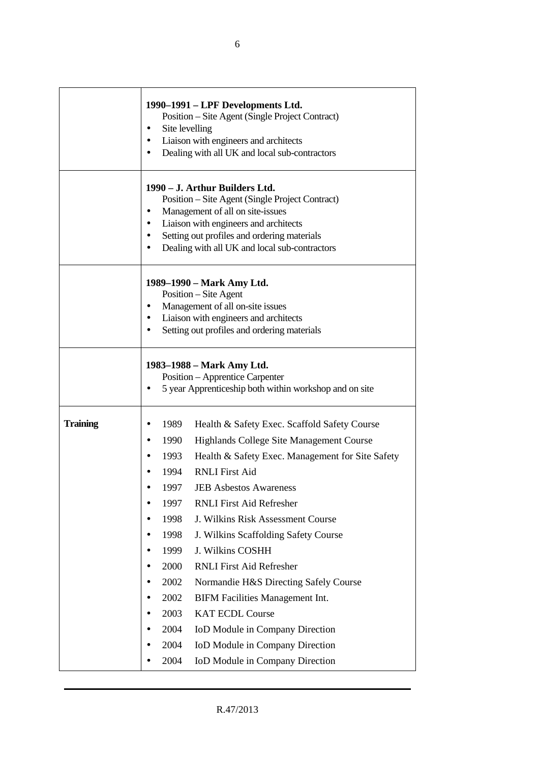|                 | 1990–1991 – LPF Developments Ltd.<br>Position – Site Agent (Single Project Contract)<br>Site levelling<br>٠<br>Liaison with engineers and architects<br>$\bullet$<br>Dealing with all UK and local sub-contractors                                                                                                                                                                                                                                                                                                                                                                                                                                                                                                                                            |  |  |  |  |
|-----------------|---------------------------------------------------------------------------------------------------------------------------------------------------------------------------------------------------------------------------------------------------------------------------------------------------------------------------------------------------------------------------------------------------------------------------------------------------------------------------------------------------------------------------------------------------------------------------------------------------------------------------------------------------------------------------------------------------------------------------------------------------------------|--|--|--|--|
|                 | 1990 – J. Arthur Builders Ltd.<br>Position – Site Agent (Single Project Contract)<br>Management of all on site-issues<br>$\bullet$<br>Liaison with engineers and architects<br>Setting out profiles and ordering materials<br>Dealing with all UK and local sub-contractors                                                                                                                                                                                                                                                                                                                                                                                                                                                                                   |  |  |  |  |
|                 | 1989–1990 – Mark Amy Ltd.<br>Position – Site Agent<br>Management of all on-site issues<br>٠<br>Liaison with engineers and architects<br>$\bullet$<br>Setting out profiles and ordering materials<br>$\bullet$                                                                                                                                                                                                                                                                                                                                                                                                                                                                                                                                                 |  |  |  |  |
|                 | 1983–1988 – Mark Amy Ltd.<br>Position - Apprentice Carpenter<br>5 year Apprenticeship both within workshop and on site                                                                                                                                                                                                                                                                                                                                                                                                                                                                                                                                                                                                                                        |  |  |  |  |
| <b>Training</b> | 1989<br>Health & Safety Exec. Scaffold Safety Course<br>1990<br>Highlands College Site Management Course<br>$\bullet$<br>1993<br>Health & Safety Exec. Management for Site Safety<br>$\bullet$<br><b>RNLI</b> First Aid<br>1994<br>1997<br><b>JEB Asbestos Awareness</b><br><b>RNLI First Aid Refresher</b><br>1997<br>J. Wilkins Risk Assessment Course<br>1998<br>1998<br>J. Wilkins Scaffolding Safety Course<br>J. Wilkins COSHH<br>1999<br><b>RNLI First Aid Refresher</b><br>2000<br>2002<br>Normandie H&S Directing Safely Course<br>2002<br><b>BIFM Facilities Management Int.</b><br>2003<br><b>KAT ECDL Course</b><br>2004<br>IoD Module in Company Direction<br>2004<br>IoD Module in Company Direction<br>IoD Module in Company Direction<br>2004 |  |  |  |  |